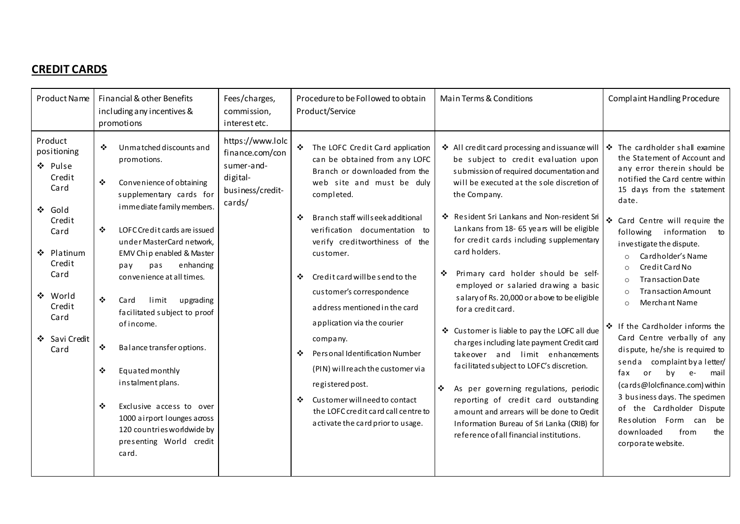## **CREDIT CARDS**

| Product Name                                                                                                                                                          | Financial & other Benefits<br>including any incentives &<br>promotions                                                                                                                                                                                                                                                                                                                                                                                                                                                                                                                     | Fees/charges,<br>commission,<br>interest etc.                                               | Procedure to be Followed to obtain<br>Product/Service                                                                                                                                                                                                                                                                                                                                                                                                                                                                                                                                                                                       | Main Terms & Conditions                                                                                                                                                                                                                                                                                                                                                                                                                                                                                                                                                                                                                                                                                                                                                                                                                                                                                                      | Complaint Handling Procedure                                                                                                                                                                                                                                                                                                                                                                                                                                                                                                                                                                                                                                                                                                                                 |
|-----------------------------------------------------------------------------------------------------------------------------------------------------------------------|--------------------------------------------------------------------------------------------------------------------------------------------------------------------------------------------------------------------------------------------------------------------------------------------------------------------------------------------------------------------------------------------------------------------------------------------------------------------------------------------------------------------------------------------------------------------------------------------|---------------------------------------------------------------------------------------------|---------------------------------------------------------------------------------------------------------------------------------------------------------------------------------------------------------------------------------------------------------------------------------------------------------------------------------------------------------------------------------------------------------------------------------------------------------------------------------------------------------------------------------------------------------------------------------------------------------------------------------------------|------------------------------------------------------------------------------------------------------------------------------------------------------------------------------------------------------------------------------------------------------------------------------------------------------------------------------------------------------------------------------------------------------------------------------------------------------------------------------------------------------------------------------------------------------------------------------------------------------------------------------------------------------------------------------------------------------------------------------------------------------------------------------------------------------------------------------------------------------------------------------------------------------------------------------|--------------------------------------------------------------------------------------------------------------------------------------------------------------------------------------------------------------------------------------------------------------------------------------------------------------------------------------------------------------------------------------------------------------------------------------------------------------------------------------------------------------------------------------------------------------------------------------------------------------------------------------------------------------------------------------------------------------------------------------------------------------|
| Product<br>positioning<br>❖ Pulse<br>Credit<br>Card<br>❖ Gold<br>Credit<br>Card<br>❖ Platinum<br>Credit<br>Card<br>❖ World<br>Credit<br>Card<br>❖ Savi Credit<br>Card | Unmatched discounts and<br>❖<br>promotions.<br>❖<br>Convenience of obtaining<br>supplementary cards for<br>immediate family members.<br>❖<br>LOFC Credit cards are issued<br>under MasterCard network,<br>EMV Chip enabled & Master<br>enhandng<br>pas<br>pay<br>convenience at all times.<br>❖<br>limit upgrading<br>Ca rd<br>facilitated subject to proof<br>of income.<br>❖<br>Balance transfer options.<br>❖<br>Equated monthly<br>instalment plans.<br>❖<br>Exclusive access to over<br>1000 airport lounges across<br>120 countries worldwide by<br>presenting World credit<br>card. | https://www.lolc<br>finance.com/con<br>sumer-and-<br>digital-<br>business/credit-<br>cards/ | ❖ The LOFC Credit Card application<br>can be obtained from any LOFC<br>Branch or downloaded from the<br>web site and must be duly<br>completed.<br>Branch staff willseek additional<br>❖<br>verification documentation to<br>verify creditworthiness of the<br>customer.<br>Credit card will be send to the<br>❖<br>customer's correspondence<br>address mentioned in the card<br>application via the courier<br>company.<br>Personal Identification Number<br>❖<br>(PIN) will reach the customer via<br>registered post.<br>Customer will need to contact<br>❖<br>the LOFC credit card call centre to<br>activate the card prior to usage. | ❖ All credit card processing and issuance will<br>be subject to credit evaluation upon<br>submission of required documentation and<br>will be executed at the sole discretion of<br>the Company.<br>❖ Resident Sri Lankans and Non-resident Sri<br>Lankans from 18- 65 years will be eligible<br>for credit cards including supplementary<br>card holders.<br>Primary card holder should be self-<br>employed or salaried drawing a basic<br>salary of Rs. 20,000 or above to be eligible<br>for a credit card.<br>❖ Customer is liable to pay the LOFC all due<br>charges including late payment Credit card<br>takeover and limit enhancements<br>facilitated subject to LOFC's discretion.<br>❖<br>As per governing regulations, periodic<br>reporting of credit card outstanding<br>a mount and arrears will be done to Credit<br>Information Bureau of Sri Lanka (CRIB) for<br>reference of all financial institutions. | $\blacktriangleright$ The cardholder shall examine<br>the Statement of Account and<br>any error therein should be<br>notified the Card centre within<br>15 days from the statement<br>date.<br>❖ Card Centre will require the<br>information to<br>following<br>investigate the dispute.<br>Cardholder's Name<br>Credit Card No<br><b>Transaction Date</b><br><b>Transaction Amount</b><br>Merchant Name<br>❖ If the Cardholder informs the<br>Card Centre verbally of any<br>dispute, he/she is required to<br>senda complaint by a letter/<br>mail<br>or<br>fax<br>by<br>$e-$<br>(cards@lolcfinance.com) within<br>3 business days. The specimen<br>of the Cardholder Dispute<br>Resolution Form can be<br>from<br>downloaded<br>the<br>corporate website. |